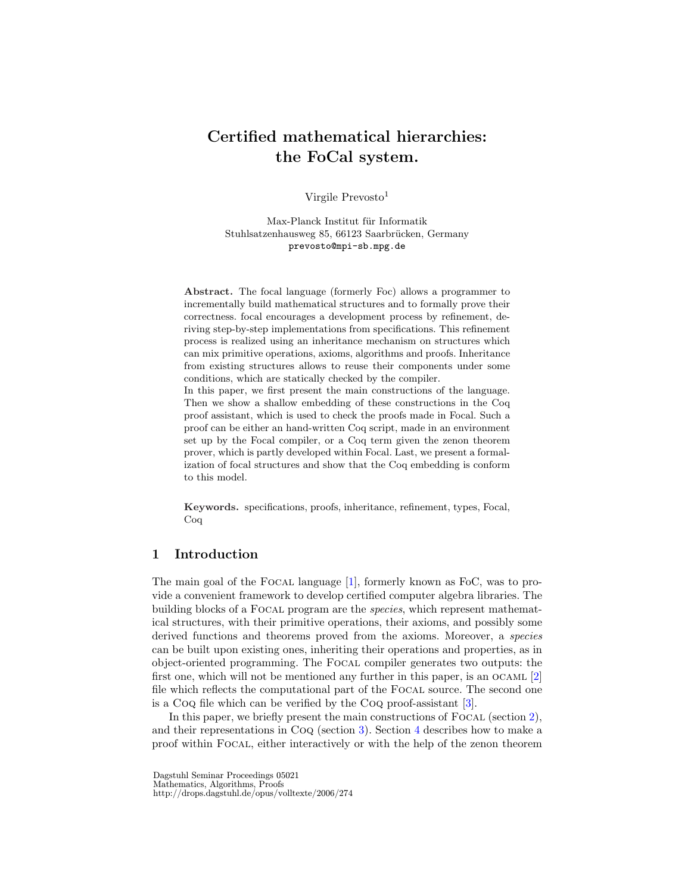# Certified mathematical hierarchies: the FoCal system.

Virgile Prevosto<sup>1</sup>

Max-Planck Institut für Informatik Stuhlsatzenhausweg 85, 66123 Saarbrücken, Germany prevosto@mpi-sb.mpg.de

Abstract. The focal language (formerly Foc) allows a programmer to incrementally build mathematical structures and to formally prove their correctness. focal encourages a development process by refinement, deriving step-by-step implementations from specifications. This refinement process is realized using an inheritance mechanism on structures which can mix primitive operations, axioms, algorithms and proofs. Inheritance from existing structures allows to reuse their components under some conditions, which are statically checked by the compiler.

In this paper, we first present the main constructions of the language. Then we show a shallow embedding of these constructions in the Coq proof assistant, which is used to check the proofs made in Focal. Such a proof can be either an hand-written Coq script, made in an environment set up by the Focal compiler, or a Coq term given the zenon theorem prover, which is partly developed within Focal. Last, we present a formalization of focal structures and show that the Coq embedding is conform to this model.

Keywords. specifications, proofs, inheritance, refinement, types, Focal, Coq

# 1 Introduction

The main goal of the FOCAL language [1], formerly known as FoC, was to provide a convenient framework to develop certified computer algebra libraries. The building blocks of a Focal program are the species, which represent mathematical structures, with their primitive operations, their axioms, and possibly some derived functions and theorems proved from the axioms. Moreover, a *species* can be built upon existing ones, inheriting their operations and properties, as in object-oriented programming. The Focal compiler generates two outputs: the first one, which will not be mentioned any further in this paper, is an OCAML  $[2]$ file which reflects the computational part of the Focal source. The second one is a Coq file which can be verified by the Coq proof-assistant [3].

In this paper, we briefly present the main constructions of  $F_{\text{OCAL}}$  (section 2), and their representations in Coq (section 3). Section 4 describes how to make a proof within Focal, either interactively or with the help of the zenon theorem

Dagstuhl Seminar Proceedings 05021 Mathematics, Algorithms, Proofs http://drops.dagstuhl.de/opus/volltexte/2006/274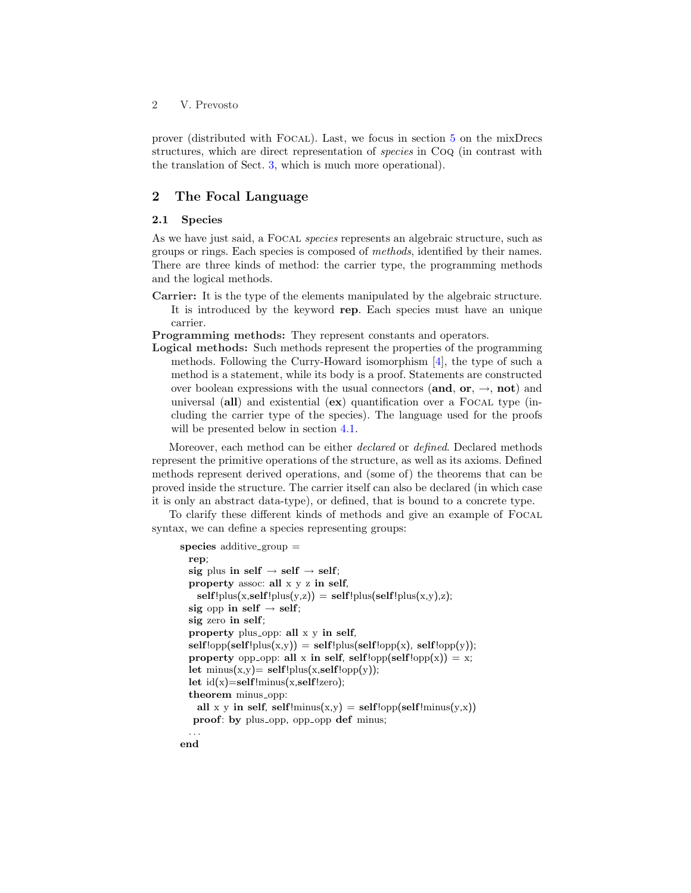prover (distributed with Focal). Last, we focus in section 5 on the mixDrecs structures, which are direct representation of species in Coq (in contrast with the translation of Sect. 3, which is much more operational).

# 2 The Focal Language

### 2.1 Species

As we have just said, a FOCAL *species* represents an algebraic structure, such as groups or rings. Each species is composed of methods, identified by their names. There are three kinds of method: the carrier type, the programming methods and the logical methods.

Carrier: It is the type of the elements manipulated by the algebraic structure. It is introduced by the keyword rep. Each species must have an unique carrier.

Programming methods: They represent constants and operators.

Logical methods: Such methods represent the properties of the programming methods. Following the Curry-Howard isomorphism  $\vert 4 \vert$ , the type of such a method is a statement, while its body is a proof. Statements are constructed over boolean expressions with the usual connectors (and, or,  $\rightarrow$ , not) and universal  $\textbf{(all)}$  and existential  $\textbf{(ex)}$  quantification over a FOCAL type (including the carrier type of the species). The language used for the proofs will be presented below in section 4.1.

Moreover, each method can be either declared or defined. Declared methods represent the primitive operations of the structure, as well as its axioms. Defined methods represent derived operations, and (some of) the theorems that can be proved inside the structure. The carrier itself can also be declared (in which case it is only an abstract data-type), or defined, that is bound to a concrete type.

To clarify these different kinds of methods and give an example of Focal syntax, we can define a species representing groups:

```
species additive-group =rep;
  sig plus in self \rightarrow self;
  property assoc: all x y z in self,
   self!plus(x, self!plus(y, z)) = self!plus(self!plus(x, y), z);sig opp in self \rightarrow self;
  sig zero in self;
  property plus_opp: all x y in self,
  self!opp(self!plus(x,y)) = self!plus(self!opp(x), self!opp(y));property opp-opp: all x in self, self!opp(self!opp(x)) = x;
  let \text{minus}(x, y) = \text{self!plus}(x, \text{self!opp}(y));let id(x)=self!minus(x, self!zero);theorem minus_opp:
    all x y in self, self!\text{minus}(x, y) = \text{self}! \text{opp}(\text{self}! \text{minus}(y, x))proof: by plus_opp, opp_opp def minus;
  . . .
```
end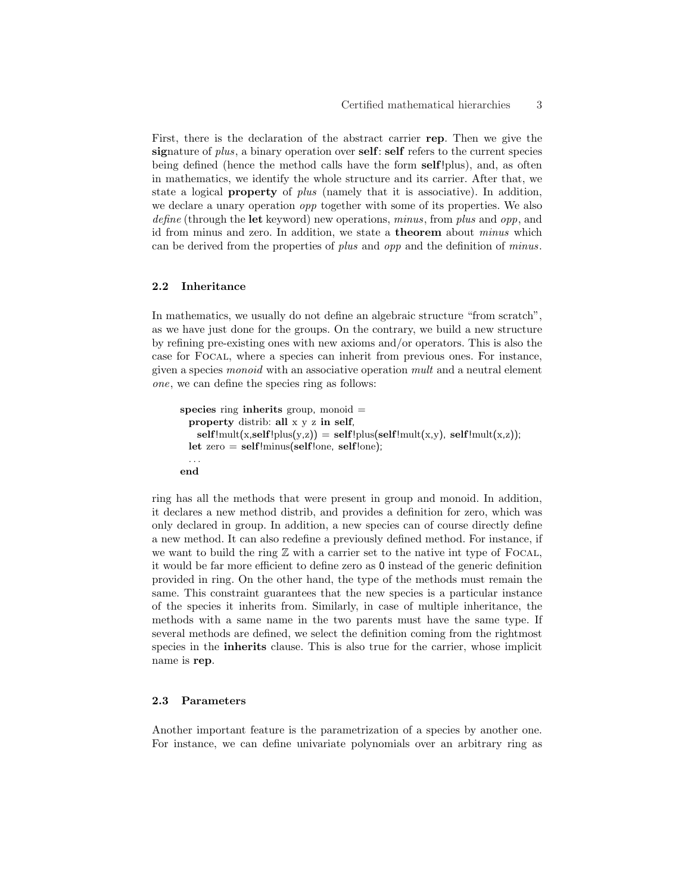First, there is the declaration of the abstract carrier rep. Then we give the signature of *plus*, a binary operation over **self**: **self** refers to the current species being defined (hence the method calls have the form self!plus), and, as often in mathematics, we identify the whole structure and its carrier. After that, we state a logical **property** of *plus* (namely that it is associative). In addition, we declare a unary operation opp together with some of its properties. We also define (through the let keyword) new operations, minus, from plus and opp, and id from minus and zero. In addition, we state a theorem about minus which can be derived from the properties of plus and opp and the definition of minus.

### 2.2 Inheritance

In mathematics, we usually do not define an algebraic structure "from scratch", as we have just done for the groups. On the contrary, we build a new structure by refining pre-existing ones with new axioms and/or operators. This is also the case for Focal, where a species can inherit from previous ones. For instance, given a species monoid with an associative operation mult and a neutral element one, we can define the species ring as follows:

```
species ring inherits group, monoid =property distrib: all x y z in self,
   self!mult(x, self!plus(y, z)) = self!plus(self!mult(x, y), self!mult(x, z));let zero = self!minus(self!one, self!one);
  . . .
end
```
ring has all the methods that were present in group and monoid. In addition, it declares a new method distrib, and provides a definition for zero, which was only declared in group. In addition, a new species can of course directly define a new method. It can also redefine a previously defined method. For instance, if we want to build the ring  $\mathbb Z$  with a carrier set to the native int type of FOCAL, it would be far more efficient to define zero as 0 instead of the generic definition provided in ring. On the other hand, the type of the methods must remain the same. This constraint guarantees that the new species is a particular instance of the species it inherits from. Similarly, in case of multiple inheritance, the methods with a same name in the two parents must have the same type. If several methods are defined, we select the definition coming from the rightmost species in the inherits clause. This is also true for the carrier, whose implicit name is rep.

### 2.3 Parameters

Another important feature is the parametrization of a species by another one. For instance, we can define univariate polynomials over an arbitrary ring as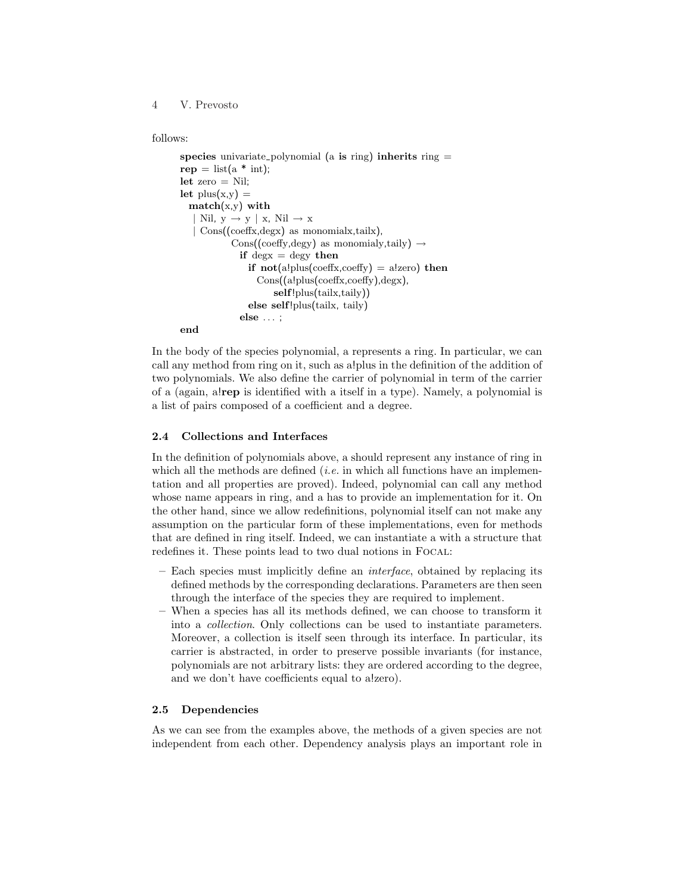4 V. Prevosto

### follows:

```
species univariate polynomial (a is ring) inherits ring =rep = list(a * int);let zero = Nil;
let plus(x,y) =
 match(x,y) with
  | Nil, y \rightarrow y | x, Nil \rightarrow x| Cons((coeffx,degx) as monomialx,tailx),
            Cons((coeffy, degy)) as monomialy,taily) \rightarrowif degx = degy then
               if not(a!plus(coeffx,coeffy) = a!zero) then
                 Cons((a!plus(coeffx,coeffy),degx),
                      self!plus(tailx,taily))
               else self!plus(tailx, taily)
              else . . . ;
end
```
In the body of the species polynomial, a represents a ring. In particular, we can call any method from ring on it, such as a!plus in the definition of the addition of two polynomials. We also define the carrier of polynomial in term of the carrier of a (again, a!rep is identified with a itself in a type). Namely, a polynomial is a list of pairs composed of a coefficient and a degree.

### 2.4 Collections and Interfaces

In the definition of polynomials above, a should represent any instance of ring in which all the methods are defined (*i.e.* in which all functions have an implementation and all properties are proved). Indeed, polynomial can call any method whose name appears in ring, and a has to provide an implementation for it. On the other hand, since we allow redefinitions, polynomial itself can not make any assumption on the particular form of these implementations, even for methods that are defined in ring itself. Indeed, we can instantiate a with a structure that redefines it. These points lead to two dual notions in Focal:

- Each species must implicitly define an interface, obtained by replacing its defined methods by the corresponding declarations. Parameters are then seen through the interface of the species they are required to implement.
- When a species has all its methods defined, we can choose to transform it into a collection. Only collections can be used to instantiate parameters. Moreover, a collection is itself seen through its interface. In particular, its carrier is abstracted, in order to preserve possible invariants (for instance, polynomials are not arbitrary lists: they are ordered according to the degree, and we don't have coefficients equal to a!zero).

### 2.5 Dependencies

As we can see from the examples above, the methods of a given species are not independent from each other. Dependency analysis plays an important role in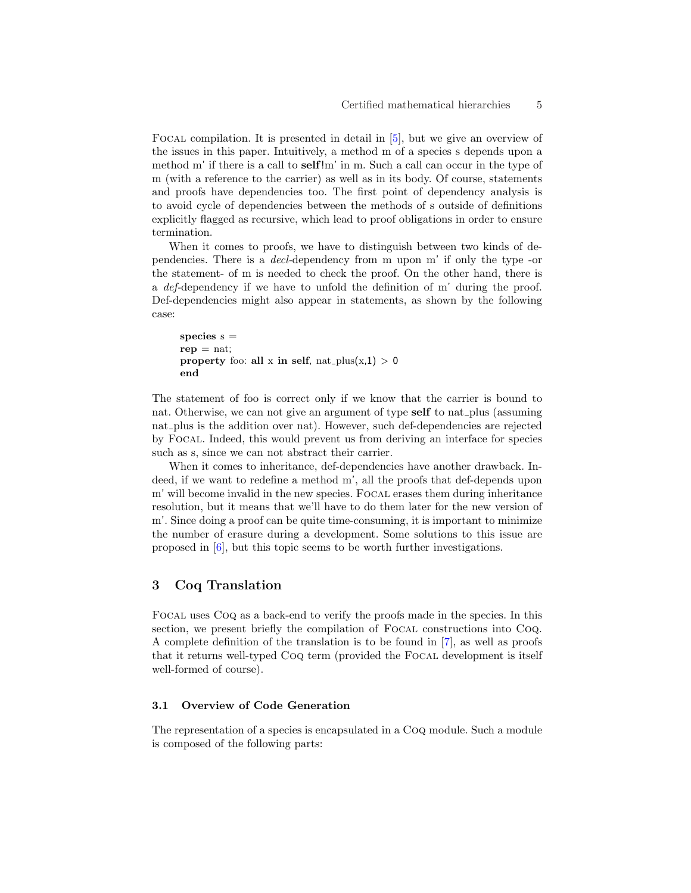Focal compilation. It is presented in detail in [5], but we give an overview of the issues in this paper. Intuitively, a method m of a species s depends upon a method m' if there is a call to self!m' in m. Such a call can occur in the type of m (with a reference to the carrier) as well as in its body. Of course, statements and proofs have dependencies too. The first point of dependency analysis is to avoid cycle of dependencies between the methods of s outside of definitions explicitly flagged as recursive, which lead to proof obligations in order to ensure termination.

When it comes to proofs, we have to distinguish between two kinds of dependencies. There is a decl-dependency from m upon m' if only the type -or the statement- of m is needed to check the proof. On the other hand, there is a def-dependency if we have to unfold the definition of m' during the proof. Def-dependencies might also appear in statements, as shown by the following case:

```
species s =rep = nat;property foo: all x in self, nat\_plus(x,1) > 0end
```
The statement of foo is correct only if we know that the carrier is bound to nat. Otherwise, we can not give an argument of type self to nat plus (assuming nat plus is the addition over nat). However, such def-dependencies are rejected by Focal. Indeed, this would prevent us from deriving an interface for species such as s, since we can not abstract their carrier.

When it comes to inheritance, def-dependencies have another drawback. Indeed, if we want to redefine a method m', all the proofs that def-depends upon m' will become invalid in the new species. Focal erases them during inheritance resolution, but it means that we'll have to do them later for the new version of m'. Since doing a proof can be quite time-consuming, it is important to minimize the number of erasure during a development. Some solutions to this issue are proposed in [6], but this topic seems to be worth further investigations.

# 3 Coq Translation

Focal uses Coq as a back-end to verify the proofs made in the species. In this section, we present briefly the compilation of FOCAL constructions into CoQ. A complete definition of the translation is to be found in [7], as well as proofs that it returns well-typed Coq term (provided the Focal development is itself well-formed of course).

### 3.1 Overview of Code Generation

The representation of a species is encapsulated in a Coq module. Such a module is composed of the following parts: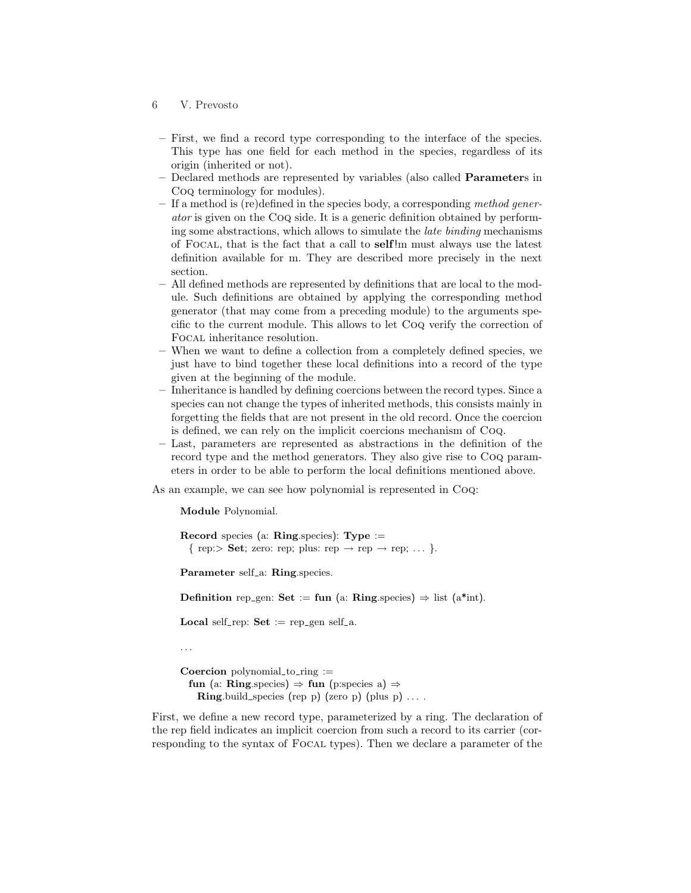- 6 V. Prevosto
- First, we find a record type corresponding to the interface of the species. This type has one field for each method in the species, regardless of its origin (inherited or not).
- Declared methods are represented by variables (also called Parameters in Coq terminology for modules).
- If a method is (re)defined in the species body, a corresponding method generator is given on the Coq side. It is a generic definition obtained by performing some abstractions, which allows to simulate the late binding mechanisms of Focal, that is the fact that a call to self!m must always use the latest definition available for m. They are described more precisely in the next section.
- All defined methods are represented by definitions that are local to the module. Such definitions are obtained by applying the corresponding method generator (that may come from a preceding module) to the arguments specific to the current module. This allows to let Coq verify the correction of Focal inheritance resolution.
- When we want to define a collection from a completely defined species, we just have to bind together these local definitions into a record of the type given at the beginning of the module.
- Inheritance is handled by defining coercions between the record types. Since a species can not change the types of inherited methods, this consists mainly in forgetting the fields that are not present in the old record. Once the coercion is defined, we can rely on the implicit coercions mechanism of Coq.
- Last, parameters are represented as abstractions in the definition of the record type and the method generators. They also give rise to Coq parameters in order to be able to perform the local definitions mentioned above.

As an example, we can see how polynomial is represented in Coq:

Module Polynomial.

Record species (a: Ring.species): Type := { rep:> Set; zero: rep; plus: rep  $\rightarrow$  rep  $\rightarrow$  rep; ... }.

Parameter self<sub>-a</sub>: Ring.species.

Definition rep\_gen: Set := fun (a: Ring.species)  $\Rightarrow$  list (a\*int).

**Local** self-rep:  $Set := rep\_gen$  self-a.

. . .

**Coercion** polynomial to ring  $:=$ fun (a: Ring.species)  $\Rightarrow$  fun (p:species a)  $\Rightarrow$ **Ring** build species (rep p) (zero p) (plus p)  $\dots$ .

First, we define a new record type, parameterized by a ring. The declaration of the rep field indicates an implicit coercion from such a record to its carrier (corresponding to the syntax of Focal types). Then we declare a parameter of the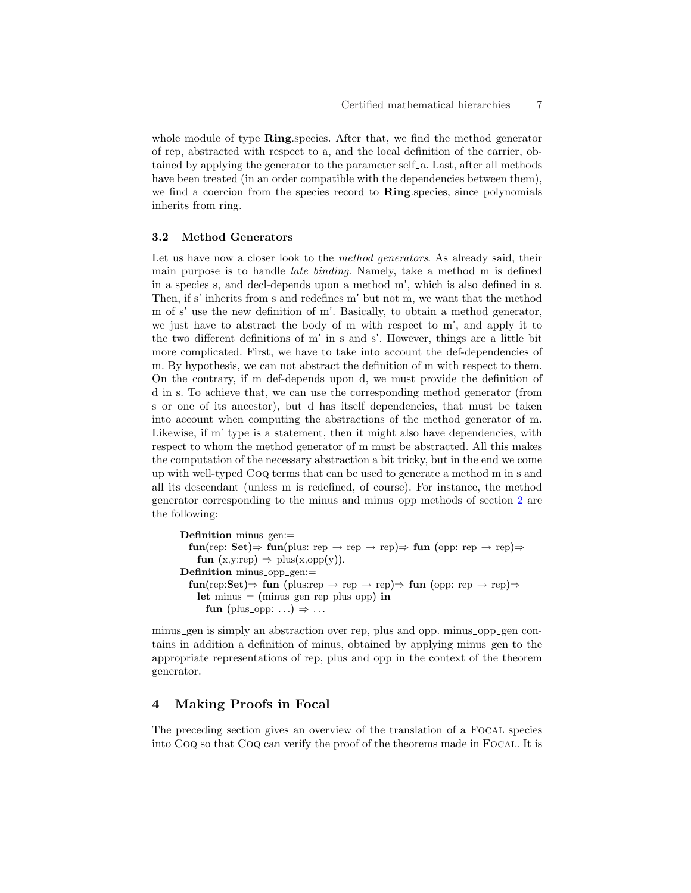whole module of type **Ring**.species. After that, we find the method generator of rep, abstracted with respect to a, and the local definition of the carrier, obtained by applying the generator to the parameter self a. Last, after all methods have been treated (in an order compatible with the dependencies between them), we find a coercion from the species record to **Ring** species, since polynomials inherits from ring.

### 3.2 Method Generators

Let us have now a closer look to the *method generators*. As already said, their main purpose is to handle late binding. Namely, take a method m is defined in a species s, and decl-depends upon a method m', which is also defined in s. Then, if s' inherits from s and redefines m' but not m, we want that the method m of s' use the new definition of m'. Basically, to obtain a method generator, we just have to abstract the body of m with respect to m', and apply it to the two different definitions of m' in s and s'. However, things are a little bit more complicated. First, we have to take into account the def-dependencies of m. By hypothesis, we can not abstract the definition of m with respect to them. On the contrary, if m def-depends upon d, we must provide the definition of d in s. To achieve that, we can use the corresponding method generator (from s or one of its ancestor), but d has itself dependencies, that must be taken into account when computing the abstractions of the method generator of m. Likewise, if m' type is a statement, then it might also have dependencies, with respect to whom the method generator of m must be abstracted. All this makes the computation of the necessary abstraction a bit tricky, but in the end we come up with well-typed Coq terms that can be used to generate a method m in s and all its descendant (unless m is redefined, of course). For instance, the method generator corresponding to the minus and minus opp methods of section 2 are the following:

```
Definition minus_gen:=
  fun(rep: Set) \Rightarrow fun(plus: rep \rightarrow rep \Rightarrow fun(opp: rep \rightarrow rep) \Rightarrowfun (x, y:rep) \Rightarrow plus(x, opp(y)).Definition minus_opp_gen:=
  fun(rep:Set)⇒ fun (plus:rep → rep → rep)⇒ fun (opp: rep → rep)⇒
    let minus = (minus gen rep plus opp) in
      fun (plus_opp: ...) \Rightarrow ...
```
minus gen is simply an abstraction over rep, plus and opp. minus opp gen contains in addition a definition of minus, obtained by applying minus gen to the appropriate representations of rep, plus and opp in the context of the theorem generator.

# 4 Making Proofs in Focal

The preceding section gives an overview of the translation of a FOCAL species into Coq so that Coq can verify the proof of the theorems made in Focal. It is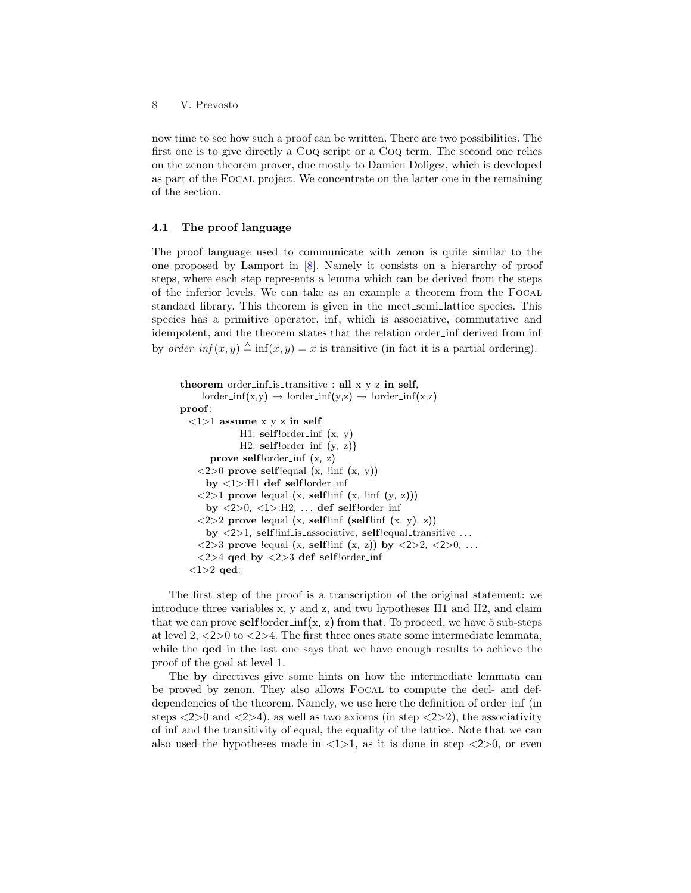now time to see how such a proof can be written. There are two possibilities. The first one is to give directly a Coq script or a Coq term. The second one relies on the zenon theorem prover, due mostly to Damien Doligez, which is developed as part of the Focal project. We concentrate on the latter one in the remaining of the section.

### 4.1 The proof language

The proof language used to communicate with zenon is quite similar to the one proposed by Lamport in [8]. Namely it consists on a hierarchy of proof steps, where each step represents a lemma which can be derived from the steps of the inferior levels. We can take as an example a theorem from the Focal standard library. This theorem is given in the meet semi lattice species. This species has a primitive operator, inf, which is associative, commutative and idempotent, and the theorem states that the relation order inf derived from inf by order inf $(x, y) \triangleq \inf(x, y) = x$  is transitive (in fact it is a partial ordering).

```
theorem order inf is transitive : all x \, y \, z in self,
     lorder_info(x,y) \rightarrow lorder_info(y,z) \rightarrow lorder_info(x,z)proof:
  \langle 1 \rangle1 assume x y z in self
                H1: \text{self}! \text{order} \text{inf} (x, y)
                H2: self!order_info(y, z)prove self!order_inf (x, z)\langle 2 \rangle 0 prove self! lequal (x, !inf (x, y))
      by <1>:H1 def self!order inf
    \langle 2 \rangle1 prove !equal (x, self!inf (x, !inf (y, z)))
      by <2>0, <1>:H2, . . . def self!order inf
    \langle 2 \rangle 2 prove lequal (x, selflinf (selflinf (x, y), z))
      by \langle 2 \rangle1, self!inf_is_associative, self!equal_transitive ...
    \langle 2 \rangle prove lequal (x, selflinf (x, z)) by \langle 2 \rangle 2, \langle 2 \rangle0, ...
     <2>4 qed by <2>3 def self!order inf
  <1>2 qed;
```
The first step of the proof is a transcription of the original statement: we introduce three variables x, y and z, and two hypotheses H1 and H2, and claim that we can prove self! order  $\inf(x, z)$  from that. To proceed, we have 5 sub-steps at level  $2, \langle 2 \rangle 0$  to  $\langle 2 \rangle 4$ . The first three ones state some intermediate lemmata, while the qed in the last one says that we have enough results to achieve the proof of the goal at level 1.

The by directives give some hints on how the intermediate lemmata can be proved by zenon. They also allows Focal to compute the decl- and defdependencies of the theorem. Namely, we use here the definition of order inf (in steps  $\langle 2 \rangle 0$  and  $\langle 2 \rangle 4$ , as well as two axioms (in step  $\langle 2 \rangle 2$ ), the associativity of inf and the transitivity of equal, the equality of the lattice. Note that we can also used the hypotheses made in  $\langle 1 \rangle$ 1, as it is done in step  $\langle 2 \rangle$ 0, or even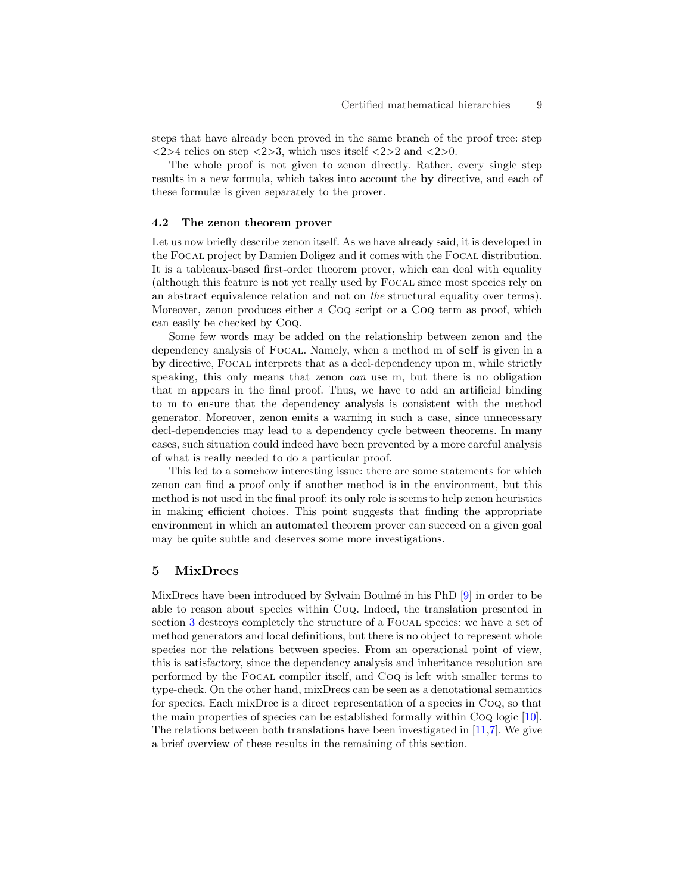steps that have already been proved in the same branch of the proof tree: step <2>4 relies on step <2>3, which uses itself <2>2 and <2>0.

The whole proof is not given to zenon directly. Rather, every single step results in a new formula, which takes into account the by directive, and each of these formulæ is given separately to the prover.

#### 4.2 The zenon theorem prover

Let us now briefly describe zenon itself. As we have already said, it is developed in the Focal project by Damien Doligez and it comes with the Focal distribution. It is a tableaux-based first-order theorem prover, which can deal with equality (although this feature is not yet really used by Focal since most species rely on an abstract equivalence relation and not on the structural equality over terms). Moreover, zenon produces either a Coq script or a Coq term as proof, which can easily be checked by Coq.

Some few words may be added on the relationship between zenon and the dependency analysis of FOCAL. Namely, when a method m of **self** is given in a by directive, Focal interprets that as a decl-dependency upon m, while strictly speaking, this only means that zenon *can* use m, but there is no obligation that m appears in the final proof. Thus, we have to add an artificial binding to m to ensure that the dependency analysis is consistent with the method generator. Moreover, zenon emits a warning in such a case, since unnecessary decl-dependencies may lead to a dependency cycle between theorems. In many cases, such situation could indeed have been prevented by a more careful analysis of what is really needed to do a particular proof.

This led to a somehow interesting issue: there are some statements for which zenon can find a proof only if another method is in the environment, but this method is not used in the final proof: its only role is seems to help zenon heuristics in making efficient choices. This point suggests that finding the appropriate environment in which an automated theorem prover can succeed on a given goal may be quite subtle and deserves some more investigations.

### 5 MixDrecs

MixDrecs have been introduced by Sylvain Boulmé in his PhD  $[9]$  in order to be able to reason about species within Coq. Indeed, the translation presented in section 3 destroys completely the structure of a Focal species: we have a set of method generators and local definitions, but there is no object to represent whole species nor the relations between species. From an operational point of view, this is satisfactory, since the dependency analysis and inheritance resolution are performed by the Focal compiler itself, and Coq is left with smaller terms to type-check. On the other hand, mixDrecs can be seen as a denotational semantics for species. Each mixDrec is a direct representation of a species in Coq, so that the main properties of species can be established formally within Coq logic [10]. The relations between both translations have been investigated in [11,7]. We give a brief overview of these results in the remaining of this section.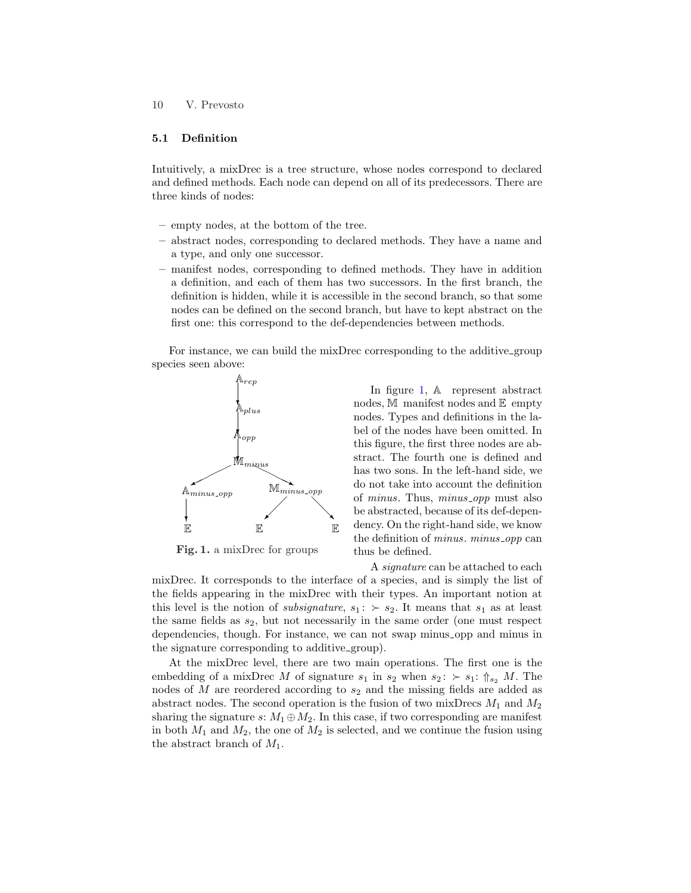### 10 V. Prevosto

### 5.1 Definition

Intuitively, a mixDrec is a tree structure, whose nodes correspond to declared and defined methods. Each node can depend on all of its predecessors. There are three kinds of nodes:

- empty nodes, at the bottom of the tree.
- abstract nodes, corresponding to declared methods. They have a name and a type, and only one successor.
- manifest nodes, corresponding to defined methods. They have in addition a definition, and each of them has two successors. In the first branch, the definition is hidden, while it is accessible in the second branch, so that some nodes can be defined on the second branch, but have to kept abstract on the first one: this correspond to the def-dependencies between methods.

For instance, we can build the mixDrec corresponding to the additive group species seen above:



Fig. 1. a mixDrec for groups

In figure 1, A represent abstract nodes,  $M$  manifest nodes and  $E$  empty nodes. Types and definitions in the label of the nodes have been omitted. In this figure, the first three nodes are abstract. The fourth one is defined and has two sons. In the left-hand side, we do not take into account the definition of minus. Thus, minus opp must also be abstracted, because of its def-dependency. On the right-hand side, we know the definition of *minus*. *minus\_opp* can thus be defined.

A *signature* can be attached to each mixDrec. It corresponds to the interface of a species, and is simply the list of the fields appearing in the mixDrec with their types. An important notion at this level is the notion of *subsignature*,  $s_1: \succ s_2$ . It means that  $s_1$  as at least the same fields as  $s_2$ , but not necessarily in the same order (one must respect dependencies, though. For instance, we can not swap minus opp and minus in the signature corresponding to additive group).

At the mixDrec level, there are two main operations. The first one is the embedding of a mixDrec M of signature  $s_1$  in  $s_2$  when  $s_2$ :  $\succ s_1$ :  $\Uparrow_{s_2} M$ . The nodes of  $M$  are reordered according to  $s_2$  and the missing fields are added as abstract nodes. The second operation is the fusion of two mixDrecs  $M_1$  and  $M_2$ sharing the signature s:  $M_1 \oplus M_2$ . In this case, if two corresponding are manifest in both  $M_1$  and  $M_2$ , the one of  $M_2$  is selected, and we continue the fusion using the abstract branch of  $M_1$ .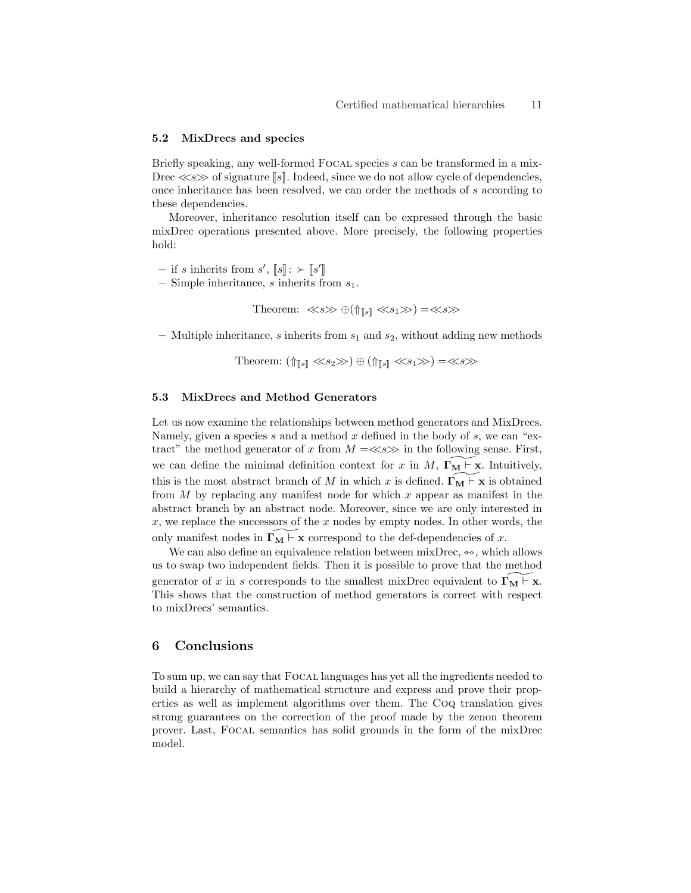#### 5.2 MixDrecs and species

Briefly speaking, any well-formed Focal species s can be transformed in a mix-Drec  $\ll$ s $\gg$  of signature [s]. Indeed, since we do not allow cycle of dependencies, once inheritance has been resolved, we can order the methods of s according to these dependencies.

Moreover, inheritance resolution itself can be expressed through the basic mixDrec operations presented above. More precisely, the following properties hold:

- if s inherits from  $s', \llbracket s \rrbracket : \succ \llbracket s' \rrbracket$
- Simple inheritance, s inherits from  $s_1$ .

Theorem:  $\ll s \gg \bigoplus (\Uparrow_{\llbracket s \rrbracket} \ll s_1 \gg) = \ll s \gg$ 

– Multiple inheritance, s inherits from  $s_1$  and  $s_2$ , without adding new methods

Theorem:  $(\Uparrow_{\llbracket s \rrbracket} \ll s_2 \gg) \oplus (\Uparrow_{\llbracket s \rrbracket} \ll s_1 \gg) = \ll s \gg$ 

### 5.3 MixDrecs and Method Generators

Let us now examine the relationships between method generators and MixDrecs. Namely, given a species s and a method x defined in the body of s, we can "extract" the method generator of x from  $M = \ll s \gg$  in the following sense. First, we can define the minimal definition context for x in  $M$ ,  $\Gamma_M \vdash x$ . Intuitively, this is the most abstract branch of M in which x is defined.  $\Gamma_M \vdash x$  is obtained from  $M$  by replacing any manifest node for which  $x$  appear as manifest in the abstract branch by an abstract node. Moreover, since we are only interested in  $x$ , we replace the successors of the  $x$  nodes by empty nodes. In other words, the only manifest nodes in  $\Gamma_M \vdash x$  correspond to the def-dependencies of x.

We can also define an equivalence relation between mixDrec,  $\Leftrightarrow$ , which allows us to swap two independent fields. Then it is possible to prove that the method generator of x in s corresponds to the smallest mixDrec equivalent to  $\Gamma_M \to \infty$ . This shows that the construction of method generators is correct with respect to mixDrecs' semantics.

### 6 Conclusions

To sum up, we can say that Focal languages has yet all the ingredients needed to build a hierarchy of mathematical structure and express and prove their properties as well as implement algorithms over them. The Coq translation gives strong guarantees on the correction of the proof made by the zenon theorem prover. Last, Focal semantics has solid grounds in the form of the mixDrec model.